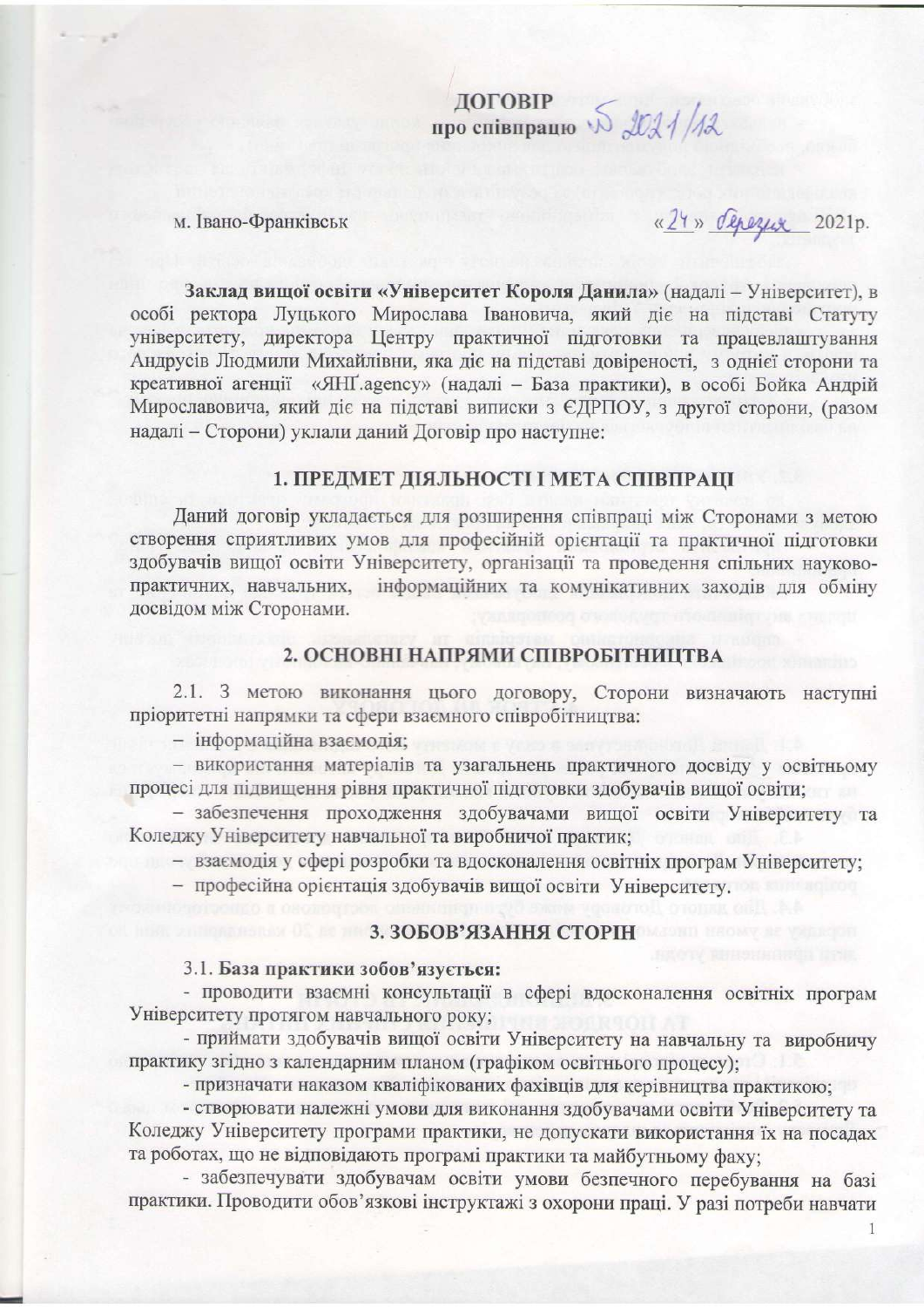ДОГОВІР<br>про співпрацю  $\sqrt{2}$  2021/12

## м. Івано-Франківськ

«24» depezux 2021p.

Заклад вищої освіти «Університет Короля Данила» (надалі - Університет), в особі ректора Луцького Мирослава Івановича, який діє на підставі Статуту університету, директора Центру практичної підготовки та працевлаштування Андрусів Людмили Михайлівни, яка діє на підставі довіреності, з однієї сторони та креативної агенції «ЯНҐ.agency» (надалі - База практики), в особі Бойка Андрій Мирославовича, який діє на підставі виписки з ЄДРПОУ, з другої сторони, (разом надалі - Сторони) уклали даний Договір про наступне:

## 1. ПРЕДМЕТ ДІЯЛЬНОСТІ І МЕТА СПІВПРАЦІ

Даний договір укладається для розширення співпраці між Сторонами з метою створення сприятливих умов для професійній орієнтації та практичної підготовки здобувачів вищої освіти Університету, організації та проведення спільних науковопрактичних, навчальних, інформаційних та комунікативних заходів для обміну досвідом між Сторонами.

# 2. ОСНОВНІ НАПРЯМИ СПІВРОБІТНИЦТВА

2.1. З метою виконання цього договору, Сторони визначають наступні пріоритетні напрямки та сфери взаємного співробітництва:

- інформаційна взаємодія:

- використання матеріалів та узагальнень практичного досвіду у освітньому процесі для підвищення рівня практичної підготовки здобувачів вищої освіти;

- забезпечення проходження здобувачами вищої освіти Університету та Коледжу Університету навчальної та виробничої практик;

- взаємодія у сфері розробки та вдосконалення освітніх програм Університету;

- професійна орієнтація здобувачів вищої освіти Університету.

# 3. ЗОБОВ'ЯЗАННЯ СТОРІН

#### 3.1. База практики зобов'язується:

- проводити взаємні консультації в сфері вдосконалення освітніх програм Університету протягом навчального року;

- приймати здобувачів вищої освіти Університету на навчальну та виробничу практику згідно з календарним планом (графіком освітнього процесу);

- призначати наказом кваліфікованих фахівців для керівництва практикою;

- створювати належні умови для виконання здобувачами освіти Університету та Коледжу Університету програми практики, не допускати використання їх на посадах та роботах, що не відповідають програмі практики та майбутньому фаху;

- забезпечувати здобувачам освіти умови безпечного перебування на базі практики. Проводити обов'язкові інструктажі з охорони праці. У разі потреби навчати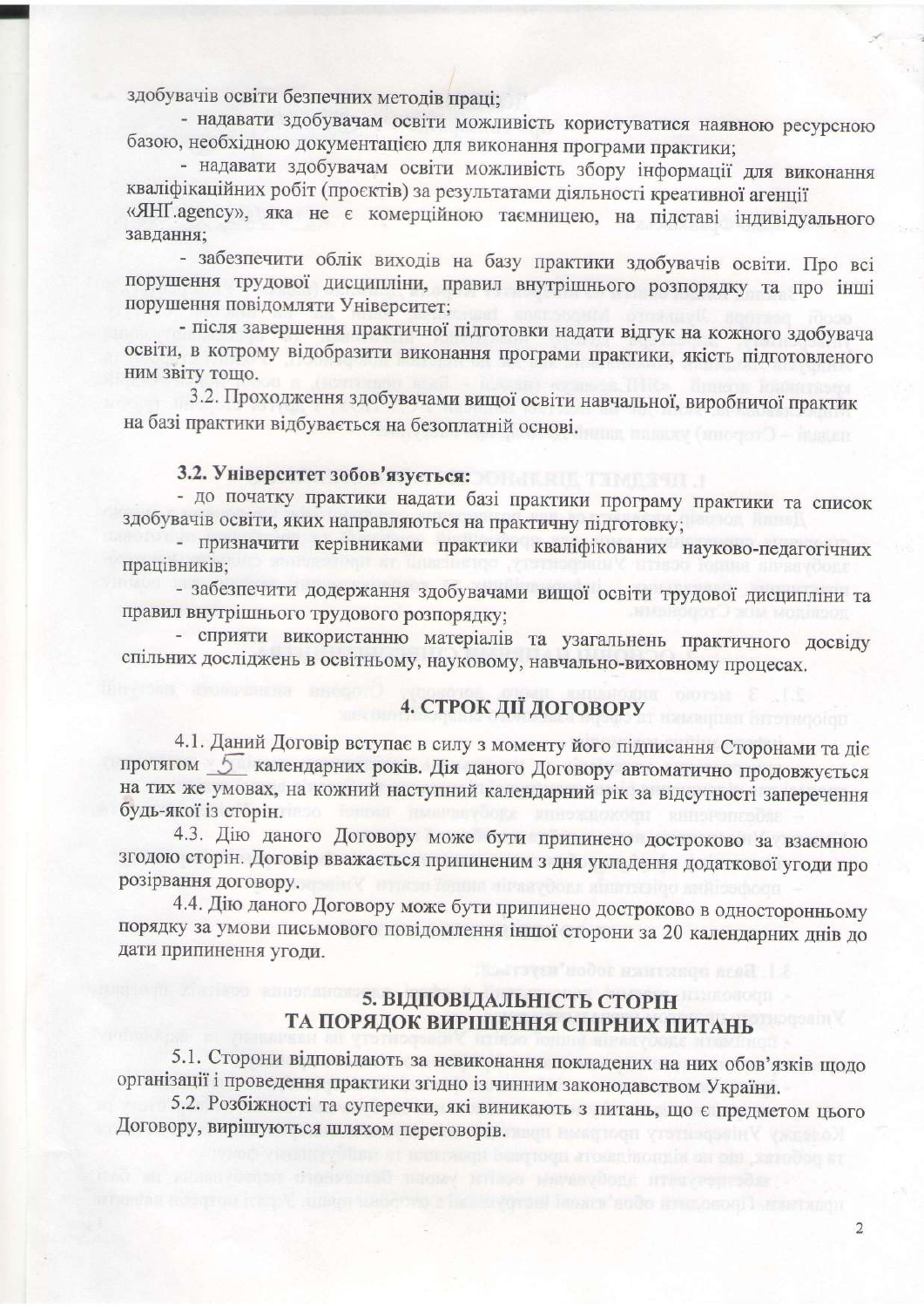здобувачів освіти безпечних методів праці;

- надавати здобувачам освіти можливість користуватися наявною ресурсною базою, необхідною документацією для виконання програми практики;

- надавати здобувачам освіти можливість збору інформації для виконання кваліфікаційних робіт (проєктів) за результатами діяльності креативної агенції «ЯНГ аgency», яка не є комерційною таємницею, на підставі індивідуального завлання:

- забезпечити облік виходів на базу практики здобувачів освіти. Про всі порушення трудової дисципліни, правил внутрішнього розпорядку та про інші порушення повідомляти Університет;

- після завершення практичної підготовки надати відгук на кожного здобувача освіти, в котрому відобразити виконання програми практики, якість підготовленого ним звіту тощо.

3.2. Проходження здобувачами вищої освіти навчальної, виробничої практик на базі практики відбувається на безоплатній основі.

# 3.2. Університет зобов'язується:

- до початку практики надати базі практики програму практики та список здобувачів освіти, яких направляються на практичну підготовку;

- призначити керівниками практики кваліфікованих науково-педагогічних працівників;

- забезпечити додержання здобувачами вищої освіти трудової дисципліни та правил внутрішнього трудового розпорядку;

- сприяти використанню матеріалів та узагальнень практичного досвіду спільних досліджень в освітньому, науковому, навчально-виховному процесах.

# 4. СТРОК ДІЇ ДОГОВОРУ

4.1. Даний Договір вступає в силу з моменту його підписання Сторонами та діє протягом 5 календарних років. Дія даного Договору автоматично продовжується на тих же умовах, на кожний наступний календарний рік за відсутності заперечення будь-якої із сторін.

4.3. Дію даного Договору може бути припинено достроково за взаємною згодою сторін. Договір вважається припиненим з дня укладення додаткової угоди про розірвання договору.

4.4. Дію даного Договору може бути припинено достроково в односторонньому порядку за умови письмового повідомлення іншої сторони за 20 календарних днів до дати припинення угоди.

# 5. ВІДПОВІДАЛЬНІСТЬ СТОРІН ТА ПОРЯДОК ВИРШШЕННЯ СПІРНИХ ПИТАНЬ

5.1. Сторони відповідають за невиконання покладених на них обов'язків щодо організації і проведення практики згідно із чинним законодавством України.

5.2. Розбіжності та суперечки, які виникають з питань, що є предметом цього Договору, вирішуються шляхом переговорів.